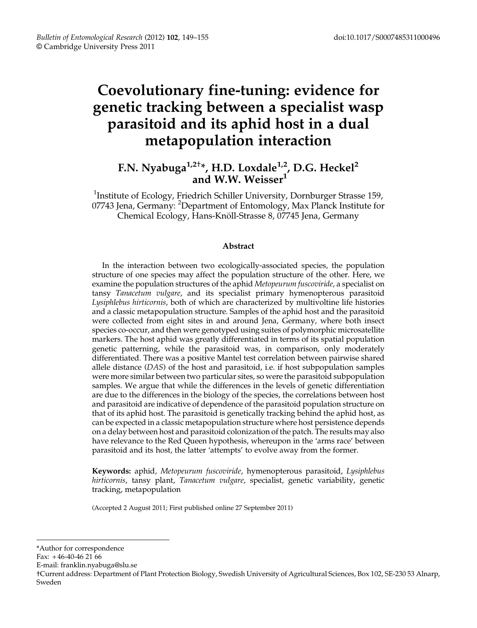# Coevolutionary fine-tuning: evidence for genetic tracking between a specialist wasp parasitoid and its aphid host in a dual metapopulation interaction

## F.N. Nyabuga $^{1,2+}$ \*, H.D. Loxdale $^{1,2}$ , D.G. Heckel $^2$ and W.W. Weisser $^{\rm 1}$

<sup>1</sup>Institute of Ecology, Friedrich Schiller University, Dornburger Strasse 159, 07743 Jena, Germany: <sup>2</sup>Department of Entomology, Max Planck Institute for Chemical Ecology, Hans-Knöll-Strasse 8, 07745 Jena, Germany

## Abstract

In the interaction between two ecologically-associated species, the population structure of one species may affect the population structure of the other. Here, we examine the population structures of the aphid Metopeurum fuscoviride, a specialist on tansy Tanacetum vulgare, and its specialist primary hymenopterous parasitoid Lysiphlebus hirticornis, both of which are characterized by multivoltine life histories and a classic metapopulation structure. Samples of the aphid host and the parasitoid were collected from eight sites in and around Jena, Germany, where both insect species co-occur, and then were genotyped using suites of polymorphic microsatellite markers. The host aphid was greatly differentiated in terms of its spatial population genetic patterning, while the parasitoid was, in comparison, only moderately differentiated. There was a positive Mantel test correlation between pairwise shared allele distance (DAS) of the host and parasitoid, i.e. if host subpopulation samples were more similar between two particular sites, so were the parasitoid subpopulation samples. We argue that while the differences in the levels of genetic differentiation are due to the differences in the biology of the species, the correlations between host and parasitoid are indicative of dependence of the parasitoid population structure on that of its aphid host. The parasitoid is genetically tracking behind the aphid host, as can be expected in a classic metapopulation structure where host persistence depends on a delay between host and parasitoid colonization of the patch. The results may also have relevance to the Red Queen hypothesis, whereupon in the 'arms race' between parasitoid and its host, the latter 'attempts' to evolve away from the former.

Keywords: aphid, Metopeurum fuscoviride, hymenopterous parasitoid, Lysiphlebus hirticornis, tansy plant, Tanacetum vulgare, specialist, genetic variability, genetic tracking, metapopulation

(Accepted 2 August 2011; First published online 27 September 2011)

- Fax: + 46-40-46 21 66
- E-mail: franklin.nyabuga@slu.se

<sup>\*</sup>Author for correspondence

<sup>†</sup>Current address: Department of Plant Protection Biology, Swedish University of Agricultural Sciences, Box 102, SE-230 53 Alnarp, Sweden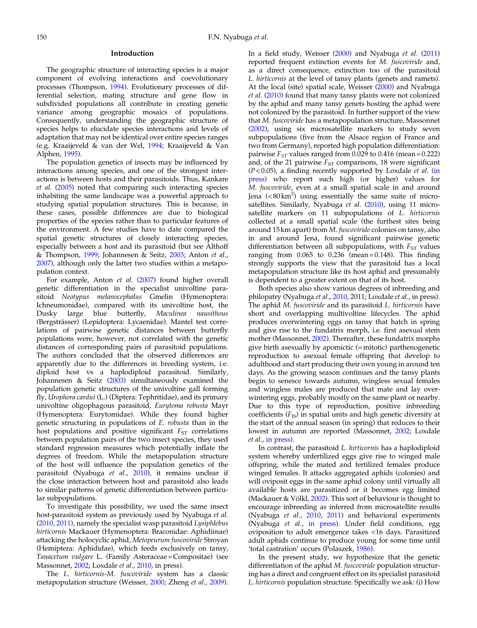## Introduction

The geographic structure of interacting species is a major component of evolving interactions and coevolutionary processes (Thompson, [1994\)](#page-6-0). Evolutionary processes of differential selection, mating structure and gene flow in subdivided populations all contribute in creating genetic variance among geographic mosaics of populations. Consequently, understanding the geographic structure of species helps to elucidate species interactions and levels of adaptation that may not be identical over entire species ranges (e.g. Kraaijeveld & van der Wel, [1994;](#page-6-0) Kraaijeveld & Van Alphen, [1995\)](#page-6-0).

The population genetics of insects may be influenced by interactions among species, and one of the strongest interactions is between hosts and their parasitoids. Thus, Kankare et al. [\(2005](#page-6-0)) noted that comparing such interacting species inhabiting the same landscape was a powerful approach to studying spatial population structures. This is because, in these cases, possible differences are due to biological properties of the species rather than to particular features of the environment. A few studies have to date compared the spatial genetic structures of closely interacting species, especially between a host and its parasitoid (but see Althoff & Thompson, [1999](#page-5-0); Johannesen & Seitz, [2003;](#page-5-0) Anton et al., [2007](#page-5-0)), although only the latter two studies within a metapopulation context.

For example, Anton et al. ([2007\)](#page-5-0) found higher overall genetic differentiation in the specialist univoltine parasitoid Neotypus melanocephalus Gmelin (Hymenoptera: Ichneumonidae), compared with its univoltine host, the Dusky large blue butterfly, Maculinea nausithous (Bergsträsser) (Lepidoptera: Lycaenidae). Mantel test correlations of pairwise genetic distances between butterfly populations were, however, not correlated with the genetic distances of corresponding pairs of parasitoid populations. The authors concluded that the observed differences are apparently due to the differences in breeding system, i.e. diploid host vs a haplodiploid parasitoid. Similarly, Johannesen & Seitz [\(2003](#page-5-0)) simultaneously examined the population genetic structures of the univoltine gall forming fly, Urophora cardui (L.) (Diptera: Tephritidae), and its primary univoltine oligophagous parasitoid, Eurytoma robusta Mayr (Hymenoptera: Eurytomidae). While they found higher genetic structuring in populations of E. robusta than in the host populations and positive significant  $F_{ST}$  correlations between population pairs of the two insect species, they used standard regression measures which potentially inflate the degrees of freedom. While the metapopulation structure of the host will influence the population genetics of the parasitoid (Nyabuga et al., [2010](#page-6-0)), it remains unclear if the close interaction between host and parasitoid also leads to similar patterns of genetic differentiation between particular subpopulations.

To investigate this possibility, we used the same insect host-parasitoid system as previously used by Nyabuga et al. [\(2010](#page-6-0), [2011](#page-6-0)), namely the specialist wasp parasitoid Lysiphlebus hirticornis Mackauer (Hymenoptera: Braconidae: Aphidiinae) attacking the holocyclic aphid, Metopeurum fuscoviride Stroyan (Hemiptera: Aphididae), which feeds exclusively on tansy, Tanacetum vulgare L. (Family Asteraceae = Compositae) (see Massonnet, [2002](#page-6-0); Loxdale et al., [2010](#page-6-0), in press).

The L. hirticornis-M. fuscoviride system has a classic metapopulation structure (Weisser, [2000;](#page-6-0) Zheng et al., [2009\)](#page-6-0). In a field study, Weisser ([2000\)](#page-6-0) and Nyabuga et al. ([2011\)](#page-6-0) reported frequent extinction events for M. fuscoviride and, as a direct consequence, extinction too of the parasitoid L. hirticornis at the level of tansy plants (genets and ramets). At the local (site) spatial scale, Weisser [\(2000](#page-6-0)) and Nyabuga et al. [\(2010](#page-6-0)) found that many tansy plants were not colonized by the aphid and many tansy genets hosting the aphid were not colonized by the parasitoid. In further support of the view that M. fuscoviride has a metapopulation structure, Massonnet [\(2002](#page-6-0)), using six microsatellite markers to study seven subpopulations (five from the Alsace region of France and two from Germany), reported high population differentiation: pairwise  $F_{ST}$  values ranged from 0.029 to 0.416 (mean = 0.222) and, of the 21 pairwise  $F_{ST}$  comparisons, 18 were significant  $(P<0.05)$ , a finding recently supported by Loxdale *et al.* [\(in](#page-6-0) [press\)](#page-6-0) who report such high (or higher) values for M. fuscoviride, even at a small spatial scale in and around Jena  $(<80 \text{ km}^2)$  using essentially the same suite of micro-satellites. Similarly, Nyabuga et al. ([2010](#page-6-0)), using 11 microsatellite markers on 11 subpopulations of L. hirticornis collected at a small spatial scale (the furthest sites being around 15 km apart) from M. fuscoviride colonies on tansy, also in and around Jena, found significant pairwise genetic differentiation between all subpopulations, with  $F_{ST}$  values ranging from  $0.065$  to  $0.236$  (mean =  $0.148$ ). This finding strongly supports the view that the parasitoid has a local metapopulation structure like its host aphid and presumably is dependent to a greater extent on that of its host.

Both species also show various degrees of inbreeding and philopatry (Nyabuga et al., [2010](#page-6-0), 2011; Loxdale et al., in press). The aphid M. fuscoviride and its parasitoid L. hirticornis have short and overlapping multivoltine lifecycles. The aphid produces overwintering eggs on tansy that hatch in spring and give rise to the fundatrix morph, i.e. first asexual stem mother (Massonnet, [2002](#page-6-0)). Thereafter, these fundatrix morphs give birth asexually by apomictic (=mitotic) parthenogenetic reproduction to asexual female offspring that develop to adulthood and start producing their own young in around ten days. As the growing season continues and the tansy plants begin to senesce towards autumn, wingless sexual females and wingless males are produced that mate and lay overwintering eggs, probably mostly on the same plant or nearby. Due to this type of reproduction, positive inbreeding coefficients  $(F_{IS})$  in spatial units and high genetic diversity at the start of the annual season (in spring) that reduces to their lowest in autumn are reported (Massonnet, [2002](#page-6-0); Loxdale et al., [in press](#page-6-0)).

In contrast, the parasitoid L. hirticornis has a haplodiploid system whereby unfertilized eggs give rise to winged male offspring, while the mated and fertilized females produce winged females. It attacks aggregated aphids (colonies) and will oviposit eggs in the same aphid colony until virtually all available hosts are parasitized or it becomes egg limited (Mackauer & Völkl, [2002\)](#page-6-0). This sort of behaviour is thought to encourage inbreeding as inferred from microsatellite results (Nyabuga et al., [2010,](#page-6-0) [2011\)](#page-6-0) and behavioral experiments (Nyabuga et al., [in press\)](#page-6-0). Under field conditions, egg oviposition to adult emergence takes <16 days. Parasitized adult aphids continue to produce young for some time until 'total castration' occurs (Polaszek, [1986\)](#page-6-0).

In the present study, we hypothesize that the genetic differentiation of the aphid M. fuscoviride population structuring has a direct and congruent effect on its specialist parasitoid L. hirticornis population structure. Specifically we ask: (i) How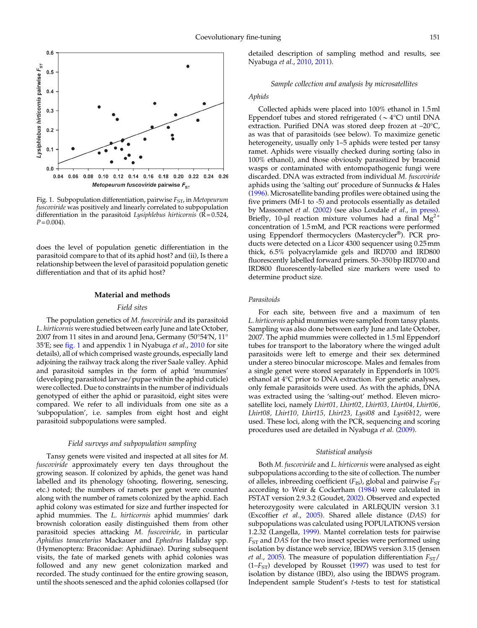<span id="page-2-0"></span>

Fig. 1. Subpopulation differentiation, pairwise  $F_{ST}$ , in Metopeurum fuscoviride was positively and linearly correlated to subpopulation differentiation in the parasitoid Lysiphlebus hirticornis  $(R=0.524,$  $P = 0.004$ .

does the level of population genetic differentiation in the parasitoid compare to that of its aphid host? and (ii), Is there a relationship between the level of parasitoid population genetic differentiation and that of its aphid host?

### Material and methods

#### Field sites

The population genetics of M. fuscoviride and its parasitoid L. hirticornis were studied between early June and late October, 2007 from 11 sites in and around Jena, Germany (50°54′N, 11° 35′E; see fig. 1 and appendix 1 in Nyabuga et al., [2010](#page-6-0) for site details), all of which comprised waste grounds, especially land adjoining the railway track along the river Saale valley. Aphid and parasitoid samples in the form of aphid 'mummies' (developing parasitoid larvae/pupae within the aphid cuticle) were collected. Due to constraints in the number of individuals genotyped of either the aphid or parasitoid, eight sites were compared. We refer to all individuals from one site as a 'subpopulation', i.e. samples from eight host and eight parasitoid subpopulations were sampled.

## Field surveys and subpopulation sampling

Tansy genets were visited and inspected at all sites for M. fuscoviride approximately every ten days throughout the growing season. If colonized by aphids, the genet was hand labelled and its phenology (shooting, flowering, senescing, etc.) noted; the numbers of ramets per genet were counted along with the number of ramets colonized by the aphid. Each aphid colony was estimated for size and further inspected for aphid mummies. The L. hirticornis aphid mummies' dark brownish coloration easily distinguished them from other parasitoid species attacking M. fuscoviride, in particular Aphidius tanacetarius Mackauer and Ephedrus Haliday spp. (Hymenoptera: Braconidae: Aphidiinae). During subsequent visits, the fate of marked genets with aphid colonies was followed and any new genet colonization marked and recorded. The study continued for the entire growing season, until the shoots senesced and the aphid colonies collapsed (for

detailed description of sampling method and results, see Nyabuga et al., [2010](#page-6-0), [2011\)](#page-6-0).

## Sample collection and analysis by microsatellites

## Aphids

Collected aphids were placed into 100% ethanol in 1.5ml Eppendorf tubes and stored refrigerated (*\**4°C) until DNA extraction. Purified DNA was stored deep frozen at –20°C, as was that of parasitoids (see below). To maximize genetic heterogeneity, usually only 1–5 aphids were tested per tansy ramet. Aphids were visually checked during sorting (also in 100% ethanol), and those obviously parasitized by braconid wasps or contaminated with entomopathogenic fungi were discarded. DNA was extracted from individual M. fuscoviride aphids using the 'salting out' procedure of Sunnucks & Hales [\(1996](#page-6-0)). Microsatellite banding profiles were obtained using the five primers (Mf-1 to -5) and protocols essentially as detailed by Massonnet et al. ([2002\)](#page-6-0) (see also Loxdale et al., [in press\)](#page-6-0). Briefly, 10-μl reaction mixture volumes had a final  $Mg^{2+}$ concentration of 1.5mM, and PCR reactions were performed using Eppendorf thermocyclers (Mastercycler®). PCR products were detected on a Licor 4300 sequencer using 0.25mm thick, 6.5% polyacrylamide gels and IRD700 and IRD800 fluorescently labelled forward primers. 50–350 bp IRD700 and IRD800 fluorescently-labelled size markers were used to determine product size.

## Parasitoids

For each site, between five and a maximum of ten L. hirticornis aphid mummies were sampled from tansy plants. Sampling was also done between early June and late October, 2007. The aphid mummies were collected in 1.5ml Eppendorf tubes for transport to the laboratory where the winged adult parasitoids were left to emerge and their sex determined under a stereo binocular microscope. Males and females from a single genet were stored separately in Eppendorfs in 100% ethanol at 4°C prior to DNA extraction. For genetic analyses, only female parasitoids were used. As with the aphids, DNA was extracted using the 'salting-out' method. Eleven microsatellite loci, namely Lhirt01, Lhirt02, Lhirt03, Lhirt04, Lhirt06, Lhirt08, Lhirt10, Lhirt15, Lhirt23, Lysi08 and Lysi6b12, were used. These loci, along with the PCR, sequencing and scoring procedures used are detailed in Nyabuga et al. ([2009\)](#page-6-0).

## Statistical analysis

Both M. fuscoviride and L. hirticornis were analysed as eight subpopulations according to the site of collection. The number of alleles, inbreeding coefficient  $(F_{\text{IS}})$ , global and pairwise  $F_{\text{ST}}$ according to Weir & Cockerham [\(1984](#page-6-0)) were calculated in FSTAT version 2.9.3.2 (Goudet, [2002\)](#page-5-0). Observed and expected heterozygosity were calculated in ARLEQUIN version 3.1 (Excoffier et al., [2005](#page-5-0)). Shared allele distance (DAS) for subpopulations was calculated using POPULATIONS version 1.2.32 (Langella, [1999](#page-6-0)). Mantel correlation tests for pairwise  $F<sub>ST</sub>$  and DAS for the two insect species were performed using isolation by distance web service, IBDWS version 3.15 (Jensen *et al., [2005](#page-5-0)*). The measure of population differentiation  $F_{ST}/$  $(1-F<sub>ST</sub>)$  developed by Rousset ([1997\)](#page-6-0) was used to test for isolation by distance (IBD), also using the IBDWS program. Independent sample Student's t-tests to test for statistical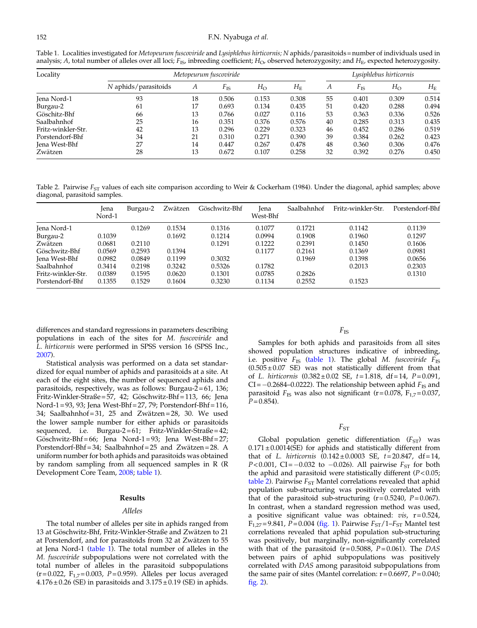<span id="page-3-0"></span>Table 1. Localities investigated for Metopeurum fuscoviride and Lysiphlebus hirticornis; N aphids/parasitoids = number of individuals used in analysis; A, total number of alleles over all loci;  $F_{IS}$ , inbreeding coefficient;  $H_O$ , observed heterozygosity; and  $H_E$ , expected heterozygosity.

| Locality           | Metopeurum fuscoviride |    |              |             |             |    | Lusiphlebus hirticornis |             |             |  |
|--------------------|------------------------|----|--------------|-------------|-------------|----|-------------------------|-------------|-------------|--|
|                    | N aphids/parasitoids   | А  | $F_{\rm IS}$ | $H_{\rm O}$ | $H_{\rm E}$ | А  | $F_{\rm IS}$            | $H_{\rm O}$ | $H_{\rm E}$ |  |
| Jena Nord-1        | 93                     | 18 | 0.506        | 0.153       | 0.308       | 55 | 0.401                   | 0.309       | 0.514       |  |
| Burgau-2           | 61                     | 17 | 0.693        | 0.134       | 0.435       | 51 | 0.420                   | 0.288       | 0.494       |  |
| Göschitz-Bhf       | 66                     | 13 | 0.766        | 0.027       | 0.116       | 53 | 0.363                   | 0.336       | 0.526       |  |
| Saalbahnhof        | 25                     | 16 | 0.351        | 0.376       | 0.576       | 40 | 0.285                   | 0.313       | 0.435       |  |
| Fritz-winkler-Str. | 42                     | 13 | 0.296        | 0.229       | 0.323       | 46 | 0.452                   | 0.286       | 0.519       |  |
| Porstendorf-Bhf    | 34                     | 21 | 0.310        | 0.271       | 0.390       | 39 | 0.384                   | 0.262       | 0.423       |  |
| Jena West-Bhf      | 27                     | 14 | 0.447        | 0.267       | 0.478       | 48 | 0.360                   | 0.306       | 0.476       |  |
| Zwätzen            | 28                     | 13 | 0.672        | 0.107       | 0.258       | 32 | 0.392                   | 0.276       | 0.450       |  |

Table 2. Pairwise  $F_{ST}$  values of each site comparison according to Weir & Cockerham (1984). Under the diagonal, aphid samples; above diagonal, parasitoid samples.

|                    | lena<br>Nord-1 | Burgau-2 | Zwätzen | Göschwitz-Bhf | lena<br>West-Bhf | Saalbahnhof | Fritz-winkler-Str. | Porstendorf-Bhf |
|--------------------|----------------|----------|---------|---------------|------------------|-------------|--------------------|-----------------|
| Jena Nord-1        |                | 0.1269   | 0.1534  | 0.1316        | 0.1077           | 0.1721      | 0.1142             | 0.1139          |
| Burgau-2           | 0.1039         |          | 0.1692  | 0.1214        | 0.0994           | 0.1908      | 0.1960             | 0.1297          |
| Zwätzen            | 0.0681         | 0.2110   |         | 0.1291        | 0.1222           | 0.2391      | 0.1450             | 0.1606          |
| Göschwitz-Bhf      | 0.0569         | 0.2593   | 0.1394  |               | 0.1177           | 0.2161      | 0.1369             | 0.0981          |
| Jena West-Bhf      | 0.0982         | 0.0849   | 0.1199  | 0.3032        |                  | 0.1969      | 0.1398             | 0.0656          |
| Saalbahnhof        | 0.3414         | 0.2198   | 0.3242  | 0.5326        | 0.1782           |             | 0.2013             | 0.2303          |
| Fritz-winkler-Str. | 0.0389         | 0.1595   | 0.0620  | 0.1301        | 0.0785           | 0.2826      |                    | 0.1310          |
| Porstendorf-Bhf    | 0.1355         | 0.1529   | 0.1604  | 0.3230        | 0.1134           | 0.2552      | 0.1523             |                 |

differences and standard regressions in parameters describing populations in each of the sites for M. fuscoviride and L. hirticornis were performed in SPSS version 16 (SPSS Inc., [2007](#page-6-0)).

Statistical analysis was performed on a data set standardized for equal number of aphids and parasitoids at a site. At each of the eight sites, the number of sequenced aphids and parasitoids, respectively, was as follows: Burgau- $2 = 61$ , 136; Fritz-Winkler-Straße = 57, 42; Göschwitz-Bhf = 113, 66; Jena Nord-1 = 93, 93; Jena West-Bhf = 27, 79; Porstendorf-Bhf = 116, 34; Saalbahnhof = 31, 25 and Zwätzen = 28, 30. We used the lower sample number for either aphids or parasitoids sequenced, i.e. Burgau-2=61; Fritz-Winkler-Straße=42; Göschwitz-Bhf = 66; Jena Nord-1 = 93; Jena West-Bhf = 27; Porstendorf-Bhf = 34; Saalbahnhof = 25 and Zwätzen = 28. A uniform number for both aphids and parasitoids was obtained by random sampling from all sequenced samples in R (R Development Core Team, [2008](#page-6-0); table 1).

## Results

#### Alleles

The total number of alleles per site in aphids ranged from 13 at Göschwitz-Bhf, Fritz-Winkler-Straße and Zwätzen to 21 at Porstendorf, and for parasitoids from 32 at Zwätzen to 55 at Jena Nord-1 (table 1). The total number of alleles in the M. fuscoviride subpopulations were not correlated with the total number of alleles in the parasitoid subpopulations  $(r=0.022, F_{1,7}=0.003, P=0.959)$ . Alleles per locus averaged  $4.176 \pm 0.26$  (SE) in parasitoids and  $3.175 \pm 0.19$  (SE) in aphids.

## $F_{\rm IS}$

Samples for both aphids and parasitoids from all sites showed population structures indicative of inbreeding, i.e. positive  $F_{\text{IS}}$  (table 1). The global M. fuscoviride  $F_{\text{IS}}$  $(0.505 \pm 0.07$  SE) was not statistically different from that of L. hirticornis  $(0.382 \pm 0.02 \text{ SE}, t = 1.818, df = 14, P = 0.091,$  $CI = -0.2684 - 0.0222$ . The relationship between aphid  $F_{IS}$  and parasitoid  $F_{IS}$  was also not significant (r=0.078,  $F_{1,7}$ =0.037,  $P = 0.854$ .

## $F_{ST}$

Global population genetic differentiation  $(F_{ST})$  was  $0.171 \pm 0.0014$ (SE) for aphids and statistically different from that of L. hirticornis  $(0.142 \pm 0.0003 \text{ SE}, t = 20.847, df = 14,$  $P < 0.001$ , CI=-0.032 to -0.026). All pairwise  $F_{ST}$  for both the aphid and parasitoid were statistically different  $(P<0.05)$ ; table 2). Pairwise  $F_{ST}$  Mantel correlations revealed that aphid population sub-structuring was positively correlated with that of the parasitoid sub-structuring  $(r= 0.5240, P= 0.067)$ . In contrast, when a standard regression method was used, a positive significant value was obtained:  $vis$ ,  $r = 0.524$ ,  $F_{1,27} = 9.841$ ,  $P = 0.004$  ([fig. 1](#page-2-0)). Pairwise  $F_{ST}/1-F_{ST}$  Mantel test correlations revealed that aphid population sub-structuring was positively, but marginally, non-significantly correlated with that of the parasitoid ( $r = 0.5088$ ,  $P = 0.061$ ). The DAS between pairs of aphid subpopulations was positively correlated with DAS among parasitoid subpopulations from the same pair of sites (Mantel correlation:  $r = 0.6697$ ,  $P = 0.040$ ; [fig. 2](#page-4-0)).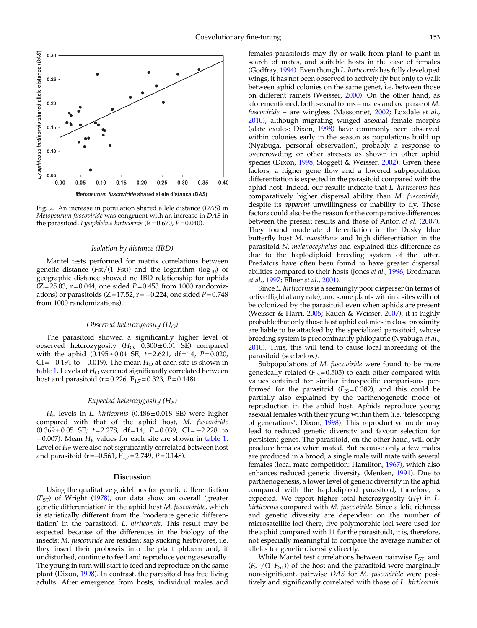<span id="page-4-0"></span>

Fig. 2. An increase in population shared allele distance (DAS) in Metopeurum fuscoviride was congruent with an increase in DAS in the parasitoid, Lysiphlebus hirticornis  $(R = 0.670, P = 0.040)$ .

#### Isolation by distance (IBD)

Mantel tests performed for matrix correlations between genetic distance (Fst/(1–Fst)) and the logarithm ( $log_{10}$ ) of geographic distance showed no IBD relationship for aphids  $(Z = 25.03, r = 0.044,$  one sided  $P = 0.453$  from 1000 randomizations) or parasitoids  $(Z=17.52, r=-0.224,$  one sided  $P=0.748$ from 1000 randomizations).

## Observed heterozygosity  $(H_O)$

The parasitoid showed a significantly higher level of observed heterozygosity  $(H<sub>O</sub>; 0.300 \pm 0.01$  SE) compared with the aphid  $(0.195 \pm 0.04 \text{ SE}, t = 2.621, df = 14, P = 0.020,$  $CI = -0.191$  to  $-0.019$ ). The mean  $H<sub>O</sub>$  at each site is shown in [table 1.](#page-3-0) Levels of  $H<sub>O</sub>$  were not significantly correlated between host and parasitoid (r=0.226,  $F_{1,7}$ =0.323, P=0.148).

## Expected heterozygosity  $(H_F)$

 $H<sub>E</sub>$  levels in L. hirticornis (0.486 $\pm$ 0.018 SE) were higher compared with that of the aphid host, M. fuscoviride  $(0.369 \pm 0.05 \text{ SE}; t = 2.278, df = 14, P = 0.039, CI = -2.228 \text{ to}$  $-0.007$ ). Mean  $H<sub>E</sub>$  values for each site are shown in [table 1](#page-3-0). Level of  $H<sub>E</sub>$  were also not significantly correlated between host and parasitoid (r = -0.561,  $F_{1,7}$  = 2.749, P = 0.148).

## Discussion

Using the qualitative guidelines for genetic differentiation  $(F<sub>ST</sub>)$  of Wright ([1978\)](#page-6-0), our data show an overall 'greater genetic differentiation' in the aphid host M. fuscoviride, which is statistically different from the 'moderate genetic differentiation' in the parasitoid, L. hirticornis. This result may be expected because of the differences in the biology of the insects: M. fuscoviride are resident sap sucking herbivores, i.e. they insert their proboscis into the plant phloem and, if undisturbed, continue to feed and reproduce young asexually. The young in turn will start to feed and reproduce on the same plant (Dixon, [1998\)](#page-5-0). In contrast, the parasitoid has free living adults. After emergence from hosts, individual males and

females parasitoids may fly or walk from plant to plant in search of mates, and suitable hosts in the case of females (Godfray, [1994\)](#page-5-0). Even though L. hirticornis has fully developed wings, it has not been observed to actively fly but only to walk between aphid colonies on the same genet, i.e. between those on different ramets (Weisser, [2000](#page-6-0)). On the other hand, as aforementioned, both sexual forms – males and oviparae of M. fuscoviride – are wingless (Massonnet, [2002](#page-6-0); Loxdale et al., [2010](#page-6-0)), although migrating winged asexual female morphs (alate exules: Dixon, [1998](#page-5-0)) have commonly been observed within colonies early in the season as populations build up (Nyabuga, personal observation), probably a response to overcrowding or other stresses as shown in other aphid species (Dixon, [1998](#page-5-0); Sloggett & Weisser, [2002](#page-6-0)). Given these factors, a higher gene flow and a lowered subpopulation differentiation is expected in the parasitoid compared with the aphid host. Indeed, our results indicate that L. hirticornis has comparatively higher dispersal ability than M. fuscoviride, despite its apparent unwillingness or inability to fly. These factors could also be the reason for the comparative differences between the present results and those of Anton et al. ([2007\)](#page-5-0). They found moderate differentiation in the Dusky blue butterfly host M. nausithous and high differentiation in the parasitoid N. melanocephalus and explained this difference as due to the haplodiploid breeding system of the latter. Predators have often been found to have greater dispersal abilities compared to their hosts (Jones et al., [1996;](#page-6-0) Brodmann et al., [1997;](#page-5-0) Ellner et al., [2001](#page-5-0)).

Since L. hirticornis is a seemingly poor disperser (in terms of active flight at any rate), and some plants within a sites will not be colonized by the parasitoid even when aphids are present (Weisser & Härri, [2005](#page-6-0); Rauch & Weisser, [2007\)](#page-6-0), it is highly probable that only those host aphid colonies in close proximity are liable to be attacked by the specialized parasitoid, whose breeding system is predominantly philopatric (Nyabuga et al., [2010](#page-6-0)). Thus, this will tend to cause local inbreeding of the parasitoid (see below).

Subpopulations of *M. fuscoviride* were found to be more genetically related ( $F_{IS}$ = 0.505) to each other compared with values obtained for similar intraspecific comparisons performed for the parasitoid  $(F_{IS} = 0.382)$ , and this could be partially also explained by the parthenogenetic mode of reproduction in the aphid host. Aphids reproduce young asexual females with their young within them (i.e. 'telescoping of generations': Dixon, [1998](#page-5-0)). This reproductive mode may lead to reduced genetic diversity and favour selection for persistent genes. The parasitoid, on the other hand, will only produce females when mated. But because only a few males are produced in a brood, a single male will mate with several females (local mate competition: Hamilton, [1967\)](#page-5-0), which also enhances reduced genetic diversity (Menken, [1991\)](#page-6-0). Due to parthenogenesis, a lower level of genetic diversity in the aphid compared with the haplodiploid parasitoid, therefore, is expected. We report higher total heterozygosity  $(H_T)$  in L. hirticornis compared with M. fuscoviride. Since allelic richness and genetic diversity are dependent on the number of microsatellite loci (here, five polymorphic loci were used for the aphid compared with 11 for the parasitoid), it is, therefore, not especially meaningful to compare the average number of alleles for genetic diversity directly.

While Mantel test correlations between pairwise  $F_{ST}$ , and  $(F_{ST}/(1-F_{ST}))$  of the host and the parasitoid were marginally non-significant, pairwise DAS for M. fuscoviride were positively and significantly correlated with those of L. hirticornis.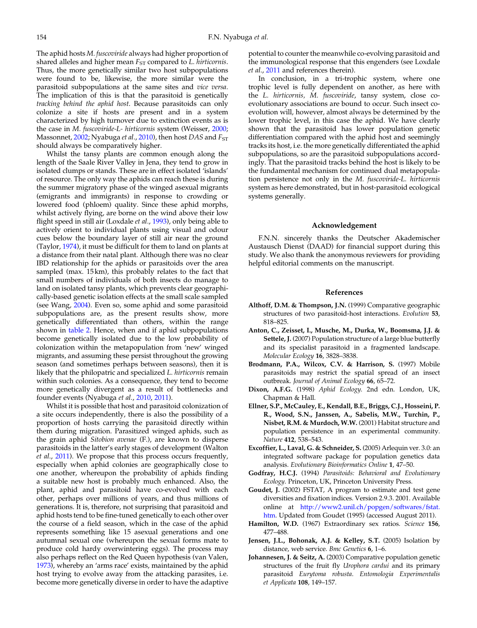<span id="page-5-0"></span>The aphid hosts M. fuscoviride always had higher proportion of shared alleles and higher mean  $F_{ST}$  compared to  $L$ . *hirticornis*. Thus, the more genetically similar two host subpopulations were found to be, likewise, the more similar were the parasitoid subpopulations at the same sites and vice versa. The implication of this is that the parasitoid is genetically tracking behind the aphid host. Because parasitoids can only colonize a site if hosts are present and in a system characterized by high turnover due to extinction events as is the case in M. fuscoviride-L- hirticornis system (Weisser, [2000](#page-6-0); Massonnet, [2002;](#page-6-0) Nyabuga *et al.*, [2010\)](#page-6-0), then host DAS and  $F_{ST}$ should always be comparatively higher.

Whilst the tansy plants are common enough along the length of the Saale River Valley in Jena, they tend to grow in isolated clumps or stands. These are in effect isolated 'islands' of resource. The only way the aphids can reach these is during the summer migratory phase of the winged asexual migrants (emigrants and immigrants) in response to crowding or lowered food (phloem) quality. Since these aphid morphs, whilst actively flying, are borne on the wind above their low flight speed in still air (Loxdale *et al.*, [1993](#page-6-0)), only being able to actively orient to individual plants using visual and odour cues below the boundary layer of still air near the ground (Taylor, [1974](#page-6-0)), it must be difficult for them to land on plants at a distance from their natal plant. Although there was no clear IBD relationship for the aphids or parasitoids over the area sampled (max. 15 km), this probably relates to the fact that small numbers of individuals of both insects do manage to land on isolated tansy plants, which prevents clear geographically-based genetic isolation effects at the small scale sampled (see Wang, [2004\)](#page-6-0). Even so, some aphid and some parasitoid subpopulations are, as the present results show, more genetically differentiated than others, within the range shown in [table 2.](#page-3-0) Hence, when and if aphid subpopulations become genetically isolated due to the low probability of colonization within the metapopulation from 'new' winged migrants, and assuming these persist throughout the growing season (and sometimes perhaps between seasons), then it is likely that the philopatric and specialized L. hirticornis remain within such colonies. As a consequence, they tend to become more genetically divergent as a result of bottlenecks and founder events (Nyabuga et al., [2010](#page-6-0), [2011\)](#page-6-0).

Whilst it is possible that host and parasitoid colonization of a site occurs independently, there is also the possibility of a proportion of hosts carrying the parasitoid directly within them during migration. Parasitized winged aphids, such as the grain aphid Sitobion avenae (F.), are known to disperse parasitoids in the latter's early stages of development (Walton et al., [2011\)](#page-6-0). We propose that this process occurs frequently, especially when aphid colonies are geographically close to one another, whereupon the probability of aphids finding a suitable new host is probably much enhanced. Also, the plant, aphid and parasitoid have co-evolved with each other, perhaps over millions of years, and thus millions of generations. It is, therefore, not surprising that parasitoid and aphid hosts tend to be fine-tuned genetically to each other over the course of a field season, which in the case of the aphid represents something like 15 asexual generations and one autumnal sexual one (whereupon the sexual forms mate to produce cold hardy overwintering eggs). The process may also perhaps reflect on the Red Queen hypothesis (van Valen, [1973](#page-6-0)), whereby an 'arms race' exists, maintained by the aphid host trying to evolve away from the attacking parasites, i.e. become more genetically diverse in order to have the adaptive

potential to counter the meanwhile co-evolving parasitoid and the immunological response that this engenders (see Loxdale et al., [2011](#page-6-0) and references therein).

In conclusion, in a tri-trophic system, where one trophic level is fully dependent on another, as here with the L. hirticornis, M. fuscoviride, tansy system, close coevolutionary associations are bound to occur. Such insect coevolution will, however, almost always be determined by the lower trophic level, in this case the aphid. We have clearly shown that the parasitoid has lower population genetic differentiation compared with the aphid host and seemingly tracks its host, i.e. the more genetically differentiated the aphid subpopulations, so are the parasitoid subpopulations accordingly. That the parasitoid tracks behind the host is likely to be the fundamental mechanism for continued dual metapopulation persistence not only in the M. fuscoviride-L. hirticornis system as here demonstrated, but in host-parasitoid ecological systems generally.

## Acknowledgement

F.N.N. sincerely thanks the Deutscher Akademischer Austausch Dienst (DAAD) for financial support during this study. We also thank the anonymous reviewers for providing helpful editorial comments on the manuscript.

## References

- Althoff, D.M. & Thompson, J.N. (1999) Comparative geographic structures of two parasitoid-host interactions. Evolution 53, 818–825.
- Anton, C., Zeisset, I., Musche, M., Durka, W., Boomsma, J.J. & Settele, J. (2007) Population structure of a large blue butterfly and its specialist parasitoid in a fragmented landscape. Molecular Ecology 16, 3828–3838.
- Brodmann, P.A., Wilcox, C.V. & Harrison, S. (1997) Mobile parasitoids may restrict the spatial spread of an insect outbreak. Journal of Animal Ecology 66, 65–72.
- Dixon, A.F.G. (1998) Aphid Ecology. 2nd edn. London, UK, Chapman & Hall.
- Ellner, S.P., McCauley, E., Kendall, B.E., Briggs, C.J., Hosseini, P. R., Wood, S.N., Janssen, A., Sabelis, M.W., Turchin, P., Nisbet, R.M. & Murdoch, W.W. (2001) Habitat structure and population persistence in an experimental community. Nature 412, 538–543.
- Excoffier, L., Laval, G. & Schneider, S. (2005) Arlequin ver. 3.0: an integrated software package for population genetics data analysis. Evolutionary Bioinformatics Online 1, 47–50.
- Godfray, H.C.J. (1994) Parasitoids: Behavioral and Evolutionary Ecology. Princeton, UK, Princeton University Press.
- Goudet, J. (2002) FSTAT, A program to estimate and test gene diversities and fixation indices. Version 2.9.3. 2001. Available online at [http://www2.unil.ch/popgen/softwares/fstat.](http://www2.unil.ch/popgen/softwares/fstat.htm) [htm.](http://www2.unil.ch/popgen/softwares/fstat.htm) Updated from Goudet (1995) (accessed August 2011).
- Hamilton, W.D. (1967) Extraordinary sex ratios. Science 156, 477–488.
- Jensen, J.L., Bohonak, A.J. & Kelley, S.T. (2005) Isolation by distance, web service. Bmc Genetics 6, 1-6.
- Johannesen, J. & Seitz, A. (2003) Comparative population genetic structures of the fruit fly Urophora cardui and its primary parasitoid Eurytoma robusta. Entomologia Experimentalis et Applicata 108, 149–157.